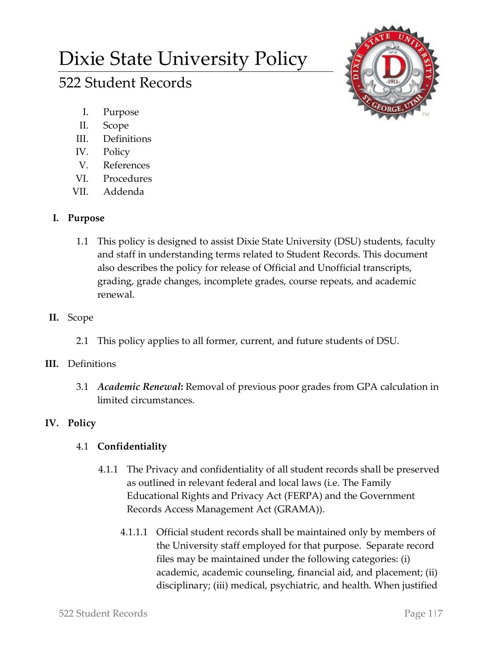# Dixie State University Policy

# 522 Student Records



- I. Purpose
- II. Scope
- III. Definitions
- IV. Policy
- V. References
- VI. Procedures
- VII. Addenda

# **I. Purpose**

- 1.1 This policy is designed to assist Dixie State University (DSU) students, faculty and staff in understanding terms related to Student Records. This document also describes the policy for release of Official and Unofficial transcripts, grading, grade changes, incomplete grades, course repeats, and academic renewal.
- **II.** Scope
	- 2.1 This policy applies to all former, current, and future students of DSU.

# **III.** Definitions

3.1 *Academic Renewal***:** Removal of previous poor grades from GPA calculation in limited circumstances.

# **IV. Policy**

# 4.1 **Confidentiality**

- 4.1.1 The Privacy and confidentiality of all student records shall be preserved as outlined in relevant federal and local laws (i.e. The Family Educational Rights and Privacy Act (FERPA) and the Government Records Access Management Act (GRAMA)).
	- 4.1.1.1 Official student records shall be maintained only by members of the University staff employed for that purpose. Separate record files may be maintained under the following categories: (i) academic, academic counseling, financial aid, and placement; (ii) disciplinary; (iii) medical, psychiatric, and health. When justified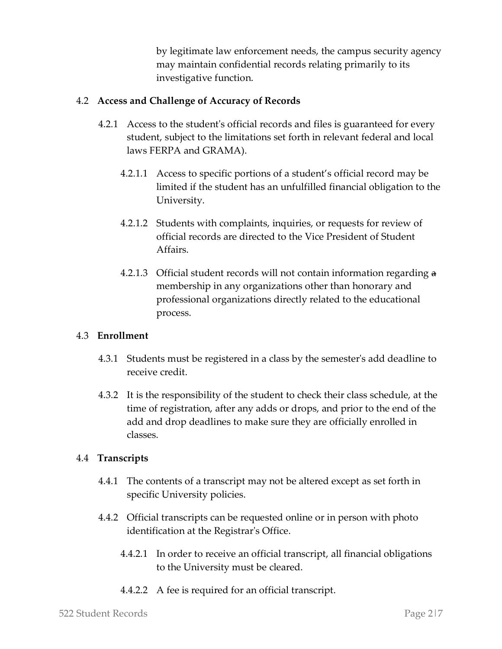by legitimate law enforcement needs, the campus security agency may maintain confidential records relating primarily to its investigative function.

# 4.2 **Access and Challenge of Accuracy of Records**

- 4.2.1 Access to the student's official records and files is guaranteed for every student, subject to the limitations set forth in relevant federal and local laws FERPA and GRAMA).
	- 4.2.1.1 Access to specific portions of a student's official record may be limited if the student has an unfulfilled financial obligation to the University.
	- 4.2.1.2 Students with complaints, inquiries, or requests for review of official records are directed to the Vice President of Student Affairs.
	- 4.2.1.3 Official student records will not contain information regarding a membership in any organizations other than honorary and professional organizations directly related to the educational process.

### 4.3 **Enrollment**

- 4.3.1 Students must be registered in a class by the semester's add deadline to receive credit.
- 4.3.2 It is the responsibility of the student to check their class schedule, at the time of registration, after any adds or drops, and prior to the end of the add and drop deadlines to make sure they are officially enrolled in classes.

# 4.4 **Transcripts**

- 4.4.1 The contents of a transcript may not be altered except as set forth in specific University policies.
- 4.4.2 Official transcripts can be requested online or in person with photo identification at the Registrar's Office.
	- 4.4.2.1 In order to receive an official transcript, all financial obligations to the University must be cleared.
	- 4.4.2.2 A fee is required for an official transcript.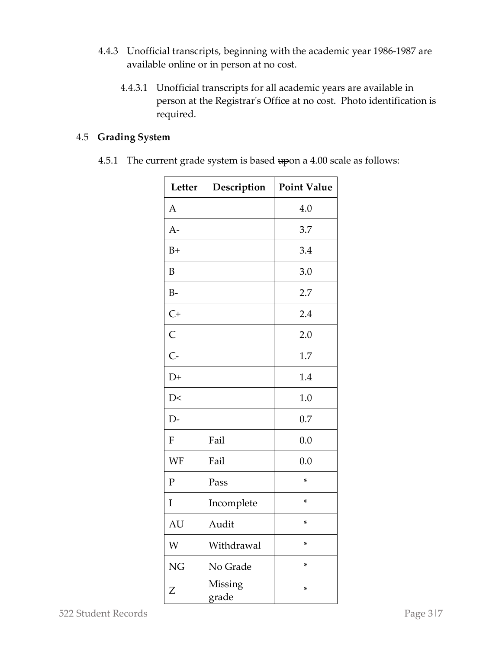- 4.4.3 Unofficial transcripts, beginning with the academic year 1986-1987 are available online or in person at no cost.
	- 4.4.3.1 Unofficial transcripts for all academic years are available in person at the Registrar's Office at no cost. Photo identification is required.

# 4.5 **Grading System**

4.5.1 The current grade system is based upon a 4.00 scale as follows:

| Letter       | Description      | <b>Point Value</b> |
|--------------|------------------|--------------------|
| $\mathsf{A}$ |                  | 4.0                |
| $A-$         |                  | 3.7                |
| $B+$         |                  | 3.4                |
| B            |                  | 3.0                |
| $B-$         |                  | 2.7                |
| $C+$         |                  | 2.4                |
| $\mathsf{C}$ |                  | 2.0                |
| $C-$         |                  | 1.7                |
| $D+$         |                  | 1.4                |
| D<           |                  | 1.0                |
| $D-$         |                  | 0.7                |
| ${\bf F}$    | Fail             | 0.0                |
| WF           | Fail             | 0.0                |
| $\mathbf{P}$ | Pass             | *                  |
| I            | Incomplete       | *                  |
| AU           | Audit            | *                  |
| W            | Withdrawal       | *                  |
| <b>NG</b>    | No Grade         | *                  |
| Z            | Missing<br>grade | *                  |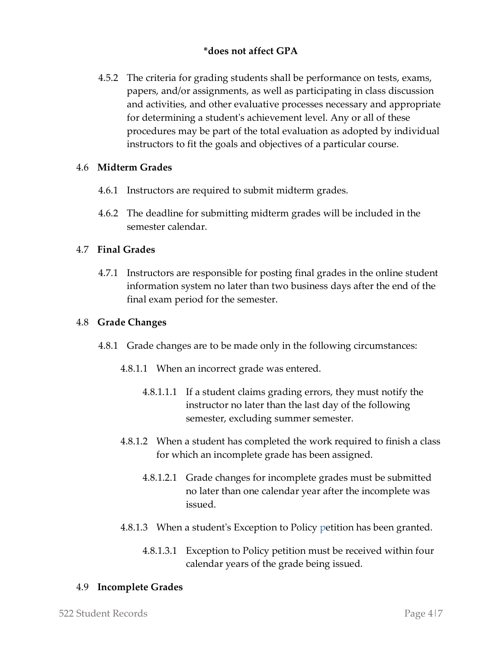# **\*does not affect GPA**

4.5.2 The criteria for grading students shall be performance on tests, exams, papers, and/or assignments, as well as participating in class discussion and activities, and other evaluative processes necessary and appropriate for determining a student's achievement level. Any or all of these procedures may be part of the total evaluation as adopted by individual instructors to fit the goals and objectives of a particular course.

## 4.6 **Midterm Grades**

- 4.6.1 Instructors are required to submit midterm grades.
- 4.6.2 The deadline for submitting midterm grades will be included in the semester calendar.

# 4.7 **Final Grades**

4.7.1 Instructors are responsible for posting final grades in the online student information system no later than two business days after the end of the final exam period for the semester.

## 4.8 **Grade Changes**

- 4.8.1 Grade changes are to be made only in the following circumstances:
	- 4.8.1.1 When an incorrect grade was entered.
		- 4.8.1.1.1 If a student claims grading errors, they must notify the instructor no later than the last day of the following semester, excluding summer semester.
	- 4.8.1.2 When a student has completed the work required to finish a class for which an incomplete grade has been assigned.
		- 4.8.1.2.1 Grade changes for incomplete grades must be submitted no later than one calendar year after the incomplete was issued.
	- 4.8.1.3 When a student's Exception to Policy petition has been granted.
		- 4.8.1.3.1 Exception to Policy petition must be received within four calendar years of the grade being issued.

### 4.9 **Incomplete Grades**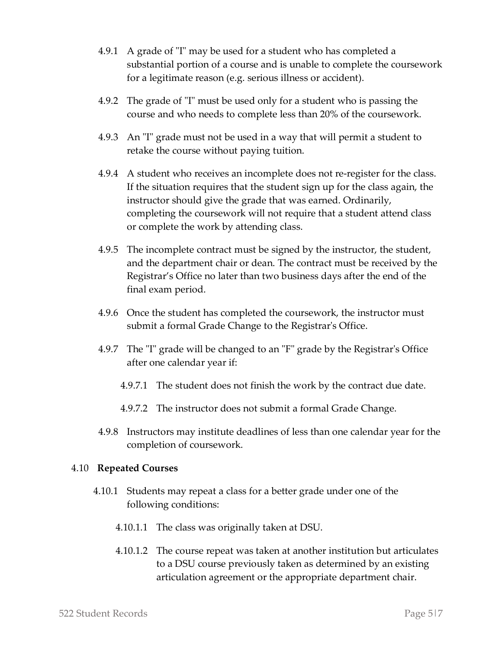- 4.9.1 A grade of "I" may be used for a student who has completed a substantial portion of a course and is unable to complete the coursework for a legitimate reason (e.g. serious illness or accident).
- 4.9.2 The grade of "I" must be used only for a student who is passing the course and who needs to complete less than 20% of the coursework.
- 4.9.3 An "I" grade must not be used in a way that will permit a student to retake the course without paying tuition.
- 4.9.4 A student who receives an incomplete does not re-register for the class. If the situation requires that the student sign up for the class again, the instructor should give the grade that was earned. Ordinarily, completing the coursework will not require that a student attend class or complete the work by attending class.
- 4.9.5 The incomplete contract must be signed by the instructor, the student, and the department chair or dean. The contract must be received by the Registrar's Office no later than two business days after the end of the final exam period.
- 4.9.6 Once the student has completed the coursework, the instructor must submit a formal Grade Change to the Registrar's Office.
- 4.9.7 The "I" grade will be changed to an "F" grade by the Registrar's Office after one calendar year if:
	- 4.9.7.1 The student does not finish the work by the contract due date.
	- 4.9.7.2 The instructor does not submit a formal Grade Change.
- 4.9.8 Instructors may institute deadlines of less than one calendar year for the completion of coursework.

### 4.10 **Repeated Courses**

- 4.10.1 Students may repeat a class for a better grade under one of the following conditions:
	- 4.10.1.1 The class was originally taken at DSU.
	- 4.10.1.2 The course repeat was taken at another institution but articulates to a DSU course previously taken as determined by an existing articulation agreement or the appropriate department chair.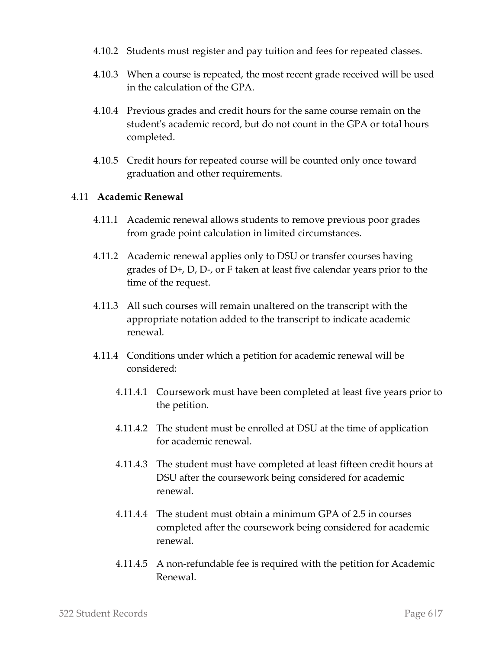- 4.10.2 Students must register and pay tuition and fees for repeated classes.
- 4.10.3 When a course is repeated, the most recent grade received will be used in the calculation of the GPA.
- 4.10.4 Previous grades and credit hours for the same course remain on the student's academic record, but do not count in the GPA or total hours completed.
- 4.10.5 Credit hours for repeated course will be counted only once toward graduation and other requirements.

#### 4.11 **Academic Renewal**

- 4.11.1 Academic renewal allows students to remove previous poor grades from grade point calculation in limited circumstances.
- 4.11.2 Academic renewal applies only to DSU or transfer courses having grades of D+, D, D-, or F taken at least five calendar years prior to the time of the request.
- 4.11.3 All such courses will remain unaltered on the transcript with the appropriate notation added to the transcript to indicate academic renewal.
- 4.11.4 Conditions under which a petition for academic renewal will be considered:
	- 4.11.4.1 Coursework must have been completed at least five years prior to the petition.
	- 4.11.4.2 The student must be enrolled at DSU at the time of application for academic renewal.
	- 4.11.4.3 The student must have completed at least fifteen credit hours at DSU after the coursework being considered for academic renewal.
	- 4.11.4.4 The student must obtain a minimum GPA of 2.5 in courses completed after the coursework being considered for academic renewal.
	- 4.11.4.5 A non-refundable fee is required with the petition for Academic Renewal.